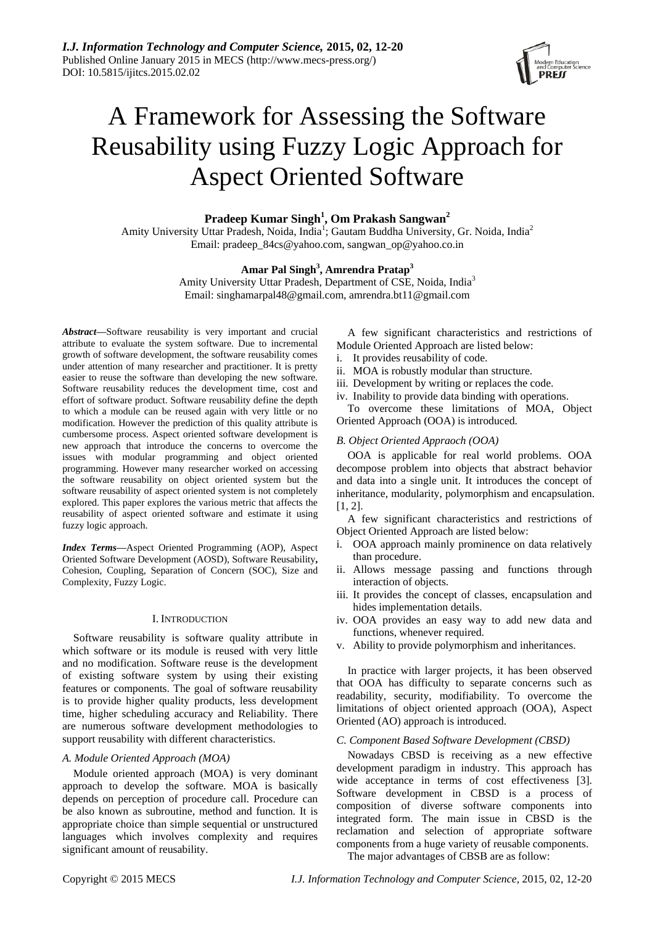

# A Framework for Assessing the Software Reusability using Fuzzy Logic Approach for Aspect Oriented Software

**Pradeep Kumar Singh<sup>1</sup> , Om Prakash Sangwan<sup>2</sup>**

Amity University Uttar Pradesh, Noida, India<sup>1</sup>; Gautam Buddha University, Gr. Noida, India<sup>2</sup> Email: pradeep\_84cs@yahoo.com, sangwan\_op@yahoo.co.in

# **Amar Pal Singh<sup>3</sup> , Amrendra Pratap<sup>3</sup>**

Amity University Uttar Pradesh, Department of CSE, Noida, India<sup>3</sup> Email: singhamarpal48@gmail.com, amrendra.bt11@gmail.com

*Abstract***—**Software reusability is very important and crucial attribute to evaluate the system software. Due to incremental growth of software development, the software reusability comes under attention of many researcher and practitioner. It is pretty easier to reuse the software than developing the new software. Software reusability reduces the development time, cost and effort of software product. Software reusability define the depth to which a module can be reused again with very little or no modification. However the prediction of this quality attribute is cumbersome process. Aspect oriented software development is new approach that introduce the concerns to overcome the issues with modular programming and object oriented programming. However many researcher worked on accessing the software reusability on object oriented system but the software reusability of aspect oriented system is not completely explored. This paper explores the various metric that affects the reusability of aspect oriented software and estimate it using fuzzy logic approach.

*Index Terms***—**Aspect Oriented Programming (AOP), Aspect Oriented Software Development (AOSD), Software Reusability**,**  Cohesion, Coupling, Separation of Concern (SOC), Size and Complexity, Fuzzy Logic.

#### I. INTRODUCTION

Software reusability is software quality attribute in which software or its module is reused with very little and no modification. Software reuse is the development of existing software system by using their existing features or components. The goal of software reusability is to provide higher quality products, less development time, higher scheduling accuracy and Reliability. There are numerous software development methodologies to support reusability with different characteristics.

# *A. Module Oriented Approach (MOA)*

Module oriented approach (MOA) is very dominant approach to develop the software. MOA is basically depends on perception of procedure call. Procedure can be also known as subroutine, method and function. It is appropriate choice than simple sequential or unstructured languages which involves complexity and requires significant amount of reusability.

A few significant characteristics and restrictions of Module Oriented Approach are listed below:

i. It provides reusability of code.

ii. MOA is robustly modular than structure.

- iii. Development by writing or replaces the code.
- iv. Inability to provide data binding with operations.

To overcome these limitations of MOA, Object Oriented Approach (OOA) is introduced.

# *B. Object Oriented Appraoch (OOA)*

OOA is applicable for real world problems. OOA decompose problem into objects that abstract behavior and data into a single unit. It introduces the concept of inheritance, modularity, polymorphism and encapsulation. [1, 2].

A few significant characteristics and restrictions of Object Oriented Approach are listed below:

- i. OOA approach mainly prominence on data relatively than procedure.
- ii. Allows message passing and functions through interaction of objects.
- iii. It provides the concept of classes, encapsulation and hides implementation details.
- iv. OOA provides an easy way to add new data and functions, whenever required.
- v. Ability to provide polymorphism and inheritances.

In practice with larger projects, it has been observed that OOA has difficulty to separate concerns such as readability, security, modifiability. To overcome the limitations of object oriented approach (OOA), Aspect Oriented (AO) approach is introduced.

# *C. Component Based Software Development (CBSD)*

Nowadays CBSD is receiving as a new effective development paradigm in industry. This approach has wide acceptance in terms of cost effectiveness [3]. Software development in CBSD is a process of composition of diverse software components into integrated form. The main issue in CBSD is the reclamation and selection of appropriate software components from a huge variety of reusable components. The major advantages of CBSB are as follow: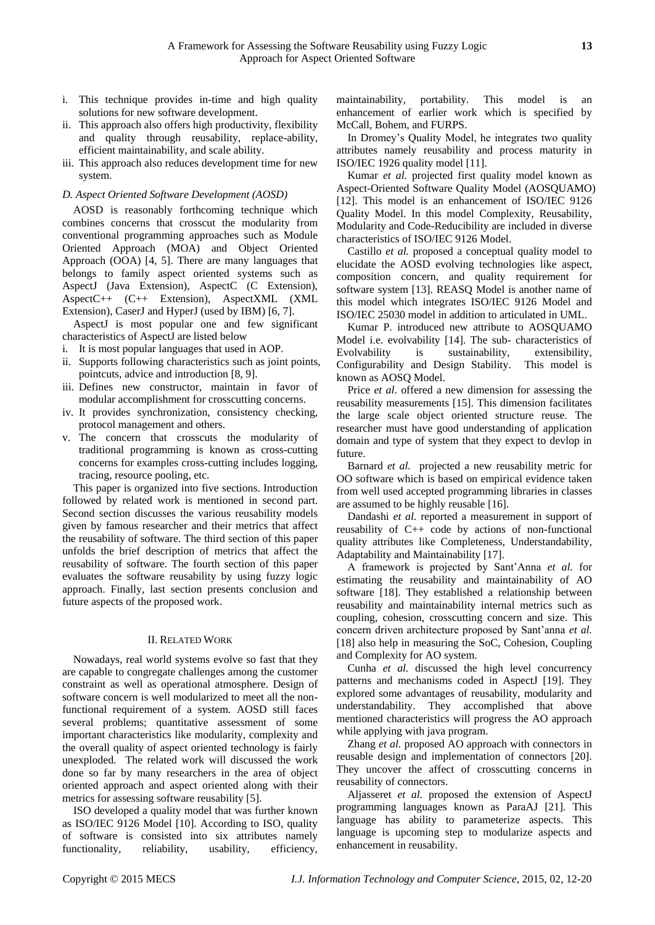- i. This technique provides in-time and high quality solutions for new software development.
- ii. This approach also offers high productivity, flexibility and quality through reusability, replace-ability, efficient maintainability, and scale ability.
- iii. This approach also reduces development time for new system.

# *D. Aspect Oriented Software Development (AOSD)*

AOSD is reasonably forthcoming technique which combines concerns that crosscut the modularity from conventional programming approaches such as Module Oriented Approach (MOA) and Object Oriented Approach (OOA) [4, 5]. There are many languages that belongs to family aspect oriented systems such as AspectJ (Java Extension), AspectC (C Extension), AspectC++ (C++ Extension), AspectXML (XML Extension), CaserJ and HyperJ (used by IBM) [6, 7].

AspectJ is most popular one and few significant characteristics of AspectJ are listed below

- i. It is most popular languages that used in AOP.
- ii. Supports following characteristics such as joint points, pointcuts, advice and introduction [8, 9].
- iii. Defines new constructor, maintain in favor of modular accomplishment for crosscutting concerns.
- iv. It provides synchronization, consistency checking, protocol management and others.
- v. The concern that crosscuts the modularity of traditional programming is known as cross-cutting concerns for examples cross-cutting includes logging, tracing, resource pooling, etc.

This paper is organized into five sections. Introduction followed by related work is mentioned in second part. Second section discusses the various reusability models given by famous researcher and their metrics that affect the reusability of software. The third section of this paper unfolds the brief description of metrics that affect the reusability of software. The fourth section of this paper evaluates the software reusability by using fuzzy logic approach. Finally, last section presents conclusion and future aspects of the proposed work.

# II. RELATED WORK

Nowadays, real world systems evolve so fast that they are capable to congregate challenges among the customer constraint as well as operational atmosphere. Design of software concern is well modularized to meet all the nonfunctional requirement of a system. AOSD still faces several problems; quantitative assessment of some important characteristics like modularity, complexity and the overall quality of aspect oriented technology is fairly unexploded. The related work will discussed the work done so far by many researchers in the area of object oriented approach and aspect oriented along with their metrics for assessing software reusability [5].

ISO developed a quality model that was further known as ISO/IEC 9126 Model [10]. According to ISO, quality of software is consisted into six attributes namely functionality, reliability, usability, efficiency,

maintainability, portability. This model is an enhancement of earlier work which is specified by McCall, Bohem, and FURPS.

In Dromey's Quality Model, he integrates two quality attributes namely reusability and process maturity in ISO/IEC 1926 quality model [11].

Kumar *et al.* projected first quality model known as Aspect-Oriented Software Quality Model (AOSQUAMO) [12]. This model is an enhancement of ISO/IEC 9126 Quality Model. In this model Complexity, Reusability, Modularity and Code-Reducibility are included in diverse characteristics of ISO/IEC 9126 Model.

Castillo *et al.* proposed a conceptual quality model to elucidate the AOSD evolving technologies like aspect, composition concern, and quality requirement for software system [13]. REASQ Model is another name of this model which integrates ISO/IEC 9126 Model and ISO/IEC 25030 model in addition to articulated in UML.

Kumar P. introduced new attribute to AOSQUAMO Model i.e. evolvability [14]. The sub- characteristics of Evolvability is sustainability, extensibility, Configurability and Design Stability. This model is known as AOSQ Model.

Price *et al*. offered a new dimension for assessing the reusability measurements [15]. This dimension facilitates the large scale object oriented structure reuse. The researcher must have good understanding of application domain and type of system that they expect to devlop in future.

Barnard *et al.* projected a new reusability metric for OO software which is based on empirical evidence taken from well used accepted programming libraries in classes are assumed to be highly reusable [16].

Dandashi *et al.* reported a measurement in support of reusability of C++ code by actions of non-functional quality attributes like Completeness, Understandability, Adaptability and Maintainability [17].

A framework is projected by Sant'Anna *et al.* for estimating the reusability and maintainability of AO software [18]. They established a relationship between reusability and maintainability internal metrics such as coupling, cohesion, crosscutting concern and size. This concern driven architecture proposed by Sant'anna *et al.* [18] also help in measuring the SoC, Cohesion, Coupling and Complexity for AO system.

Cunha *et al.* discussed the high level concurrency patterns and mechanisms coded in AspectJ [19]. They explored some advantages of reusability, modularity and understandability. They accomplished that above mentioned characteristics will progress the AO approach while applying with java program.

Zhang *et al.* proposed AO approach with connectors in reusable design and implementation of connectors [20]. They uncover the affect of crosscutting concerns in reusability of connectors.

Aljasseret *et al.* proposed the extension of AspectJ programming languages known as ParaAJ [21]. This language has ability to parameterize aspects. This language is upcoming step to modularize aspects and enhancement in reusability.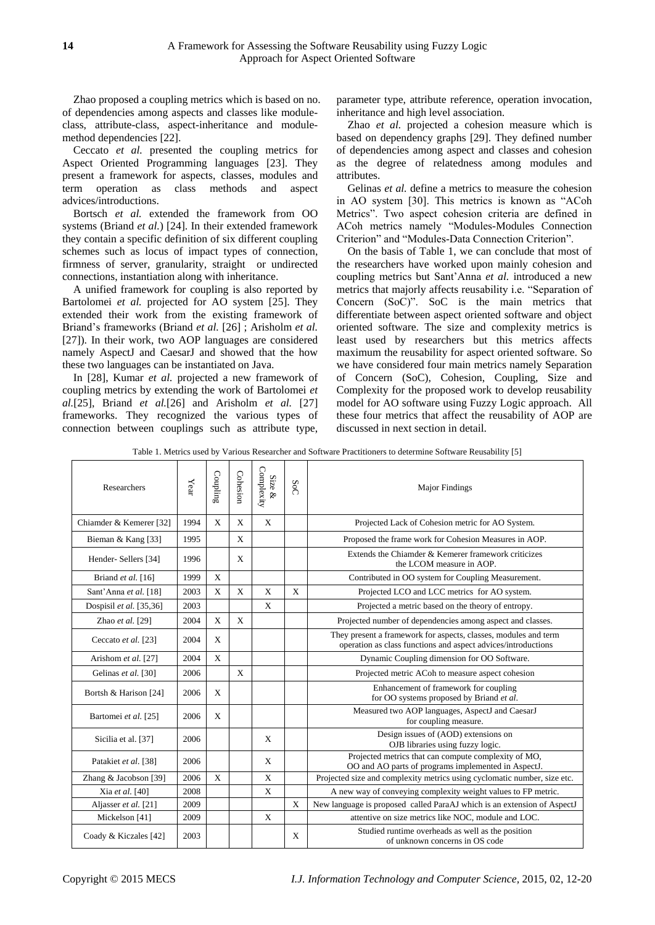Zhao proposed a coupling metrics which is based on no. of dependencies among aspects and classes like moduleclass, attribute-class, aspect-inheritance and modulemethod dependencies [22].

Ceccato *et al.* presented the coupling metrics for Aspect Oriented Programming languages [23]. They present a framework for aspects, classes, modules and term operation as class methods and aspect advices/introductions.

Bortsch *et al.* extended the framework from OO systems (Briand *et al.*) [24]. In their extended framework they contain a specific definition of six different coupling schemes such as locus of impact types of connection, firmness of server, granularity, straight or undirected connections, instantiation along with inheritance.

A unified framework for coupling is also reported by Bartolomei *et al.* projected for AO system [25]. They extended their work from the existing framework of Briand's frameworks (Briand *et al.* [26] ; Arisholm *et al.*  [27]). In their work, two AOP languages are considered namely AspectJ and CaesarJ and showed that the how these two languages can be instantiated on Java.

In [28], Kumar *et al.* projected a new framework of coupling metrics by extending the work of Bartolomei *et al.*[25], Briand *et al.*[26] and Arisholm *et al.* [27] frameworks. They recognized the various types of connection between couplings such as attribute type,

parameter type, attribute reference, operation invocation, inheritance and high level association.

Zhao *et al.* projected a cohesion measure which is based on dependency graphs [29]. They defined number of dependencies among aspect and classes and cohesion as the degree of relatedness among modules and attributes.

Gelinas *et al.* define a metrics to measure the cohesion in AO system [30]. This metrics is known as "ACoh Metrics". Two aspect cohesion criteria are defined in ACoh metrics namely "Modules-Modules Connection Criterion" and "Modules-Data Connection Criterion".

On the basis of Table 1, we can conclude that most of the researchers have worked upon mainly cohesion and coupling metrics but Sant'Anna *et al.* introduced a new metrics that majorly affects reusability i.e. "Separation of Concern (SoC)". SoC is the main metrics that differentiate between aspect oriented software and object oriented software. The size and complexity metrics is least used by researchers but this metrics affects maximum the reusability for aspect oriented software. So we have considered four main metrics namely Separation of Concern (SoC), Cohesion, Coupling, Size and Complexity for the proposed work to develop reusability model for AO software using Fuzzy Logic approach. All these four metrics that affect the reusability of AOP are discussed in next section in detail.

Table 1. Metrics used by Various Researcher and Software Practitioners to determine Software Reusability [5]

| Researchers                    | ${\it Year}$ | Coupling | Cohesion | Complexity<br>Size $\&$ | SoC          | <b>Major Findings</b>                                                                                                            |
|--------------------------------|--------------|----------|----------|-------------------------|--------------|----------------------------------------------------------------------------------------------------------------------------------|
| Chiamder & Kemerer [32]        | 1994         | X        | X        | X                       |              | Projected Lack of Cohesion metric for AO System.                                                                                 |
| Bieman & Kang [33]             | 1995         |          | X        |                         |              | Proposed the frame work for Cohesion Measures in AOP.                                                                            |
| Hender-Sellers <sup>[34]</sup> | 1996         |          | X        |                         |              | Extends the Chiamder & Kemerer framework criticizes<br>the LCOM measure in AOP.                                                  |
| Briand et al. [16]             | 1999         | X        |          |                         |              | Contributed in OO system for Coupling Measurement.                                                                               |
| Sant'Anna et al. [18]          | 2003         | X        | X        | $\mathbf{X}$            | $\mathbf{x}$ | Projected LCO and LCC metrics for AO system.                                                                                     |
| Dospisil et al. [35,36]        | 2003         |          |          | X                       |              | Projected a metric based on the theory of entropy.                                                                               |
| Zhao et al. [29]               | 2004         | X        | X        |                         |              | Projected number of dependencies among aspect and classes.                                                                       |
| Ceccato et al. [23]            | 2004         | X        |          |                         |              | They present a framework for aspects, classes, modules and term<br>operation as class functions and aspect advices/introductions |
| Arishom et al. [27]            | 2004         | X        |          |                         |              | Dynamic Coupling dimension for OO Software.                                                                                      |
| Gelinas et al. [30]            | 2006         |          | X        |                         |              | Projected metric ACoh to measure aspect cohesion                                                                                 |
| Bortsh & Harison [24]          | 2006         | X        |          |                         |              | Enhancement of framework for coupling<br>for OO systems proposed by Briand et al.                                                |
| Bartomei et al. [25]           | 2006         | X        |          |                         |              | Measured two AOP languages, AspectJ and CaesarJ<br>for coupling measure.                                                         |
| Sicilia et al. [37]            | 2006         |          |          | X                       |              | Design issues of (AOD) extensions on<br>OJB libraries using fuzzy logic.                                                         |
| Patakiet et al. [38]           | 2006         |          |          | X                       |              | Projected metrics that can compute complexity of MO,<br>OO and AO parts of programs implemented in AspectJ.                      |
| Zhang & Jacobson [39]          | 2006         | X        |          | X                       |              | Projected size and complexity metrics using cyclomatic number, size etc.                                                         |
| Xia et al. [40]                | 2008         |          |          | X                       |              | A new way of conveying complexity weight values to FP metric.                                                                    |
| Aljasser et al. [21]           | 2009         |          |          |                         | X            | New language is proposed called ParaAJ which is an extension of AspectJ                                                          |
| Mickelson [41]                 | 2009         |          |          | X                       |              | attentive on size metrics like NOC, module and LOC.                                                                              |
| Coady & Kiczales [42]          | 2003         |          |          |                         | X            | Studied runtime overheads as well as the position<br>of unknown concerns in OS code                                              |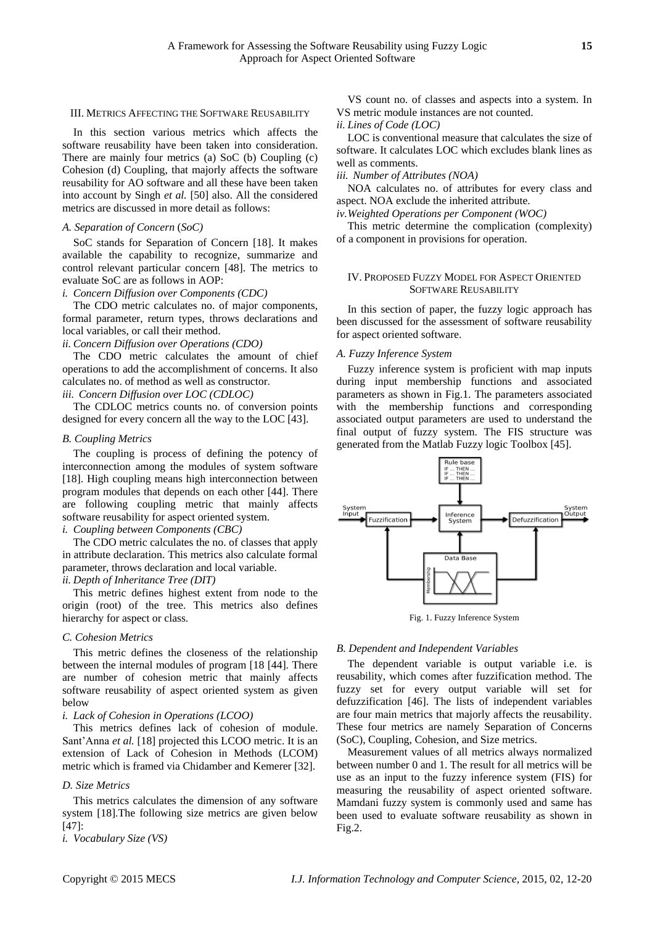#### III. METRICS AFFECTING THE SOFTWARE REUSABILITY

In this section various metrics which affects the software reusability have been taken into consideration. There are mainly four metrics (a) SoC (b) Coupling (c) Cohesion (d) Coupling, that majorly affects the software reusability for AO software and all these have been taken into account by Singh *et al.* [50] also. All the considered metrics are discussed in more detail as follows:

#### *A. Separation of Concern* (*SoC)*

SoC stands for Separation of Concern [18]. It makes available the capability to recognize, summarize and control relevant particular concern [48]. The metrics to evaluate SoC are as follows in AOP:

# *i. Concern Diffusion over Components (CDC)*

The CDO metric calculates no. of major components, formal parameter, return types, throws declarations and local variables, or call their method.

#### *ii. Concern Diffusion over Operations (CDO)*

The CDO metric calculates the amount of chief operations to add the accomplishment of concerns. It also calculates no. of method as well as constructor.

*iii. Concern Diffusion over LOC (CDLOC)*

The CDLOC metrics counts no. of conversion points designed for every concern all the way to the LOC [43].

#### *B. Coupling Metrics*

The coupling is process of defining the potency of interconnection among the modules of system software [18]. High coupling means high interconnection between program modules that depends on each other [44]. There are following coupling metric that mainly affects software reusability for aspect oriented system.

*i. Coupling between Components (CBC)*

The CDO metric calculates the no. of classes that apply in attribute declaration. This metrics also calculate formal parameter, throws declaration and local variable.

# *ii. Depth of Inheritance Tree (DIT)*

This metric defines highest extent from node to the origin (root) of the tree. This metrics also defines hierarchy for aspect or class.

#### *C. Cohesion Metrics*

This metric defines the closeness of the relationship between the internal modules of program [18 [44]. There are number of cohesion metric that mainly affects software reusability of aspect oriented system as given below

# *i. Lack of Cohesion in Operations (LCOO)*

This metrics defines lack of cohesion of module. Sant'Anna *et al.* [18] projected this LCOO metric. It is an extension of Lack of Cohesion in Methods (LCOM) metric which is framed via Chidamber and Kemerer [32].

#### *D. Size Metrics*

This metrics calculates the dimension of any software system [18].The following size metrics are given below  $[47]$ :

*i. Vocabulary Size (VS)*

*ii. Lines of Code (LOC)*

LOC is conventional measure that calculates the size of software. It calculates LOC which excludes blank lines as well as comments.

*iii. Number of Attributes (NOA)*

NOA calculates no. of attributes for every class and aspect. NOA exclude the inherited attribute.

*iv.Weighted Operations per Component (WOC)*

This metric determine the complication (complexity) of a component in provisions for operation.

# IV. PROPOSED FUZZY MODEL FOR ASPECT ORIENTED SOFTWARE REUSABILITY

In this section of paper, the fuzzy logic approach has been discussed for the assessment of software reusability for aspect oriented software.

### *A. Fuzzy Inference System*

Fuzzy inference system is proficient with map inputs during input membership functions and associated parameters as shown in Fig.1. The parameters associated with the membership functions and corresponding associated output parameters are used to understand the final output of fuzzy system. The FIS structure was generated from the Matlab Fuzzy logic Toolbox [45].



Fig. 1. Fuzzy Inference System

# *B. Dependent and Independent Variables*

The dependent variable is output variable i.e. is reusability, which comes after fuzzification method. The fuzzy set for every output variable will set for defuzzification [46]. The lists of independent variables are four main metrics that majorly affects the reusability. These four metrics are namely Separation of Concerns (SoC), Coupling, Cohesion, and Size metrics.

Measurement values of all metrics always normalized between number 0 and 1. The result for all metrics will be use as an input to the fuzzy inference system (FIS) for measuring the reusability of aspect oriented software. Mamdani fuzzy system is commonly used and same has been used to evaluate software reusability as shown in Fig.2.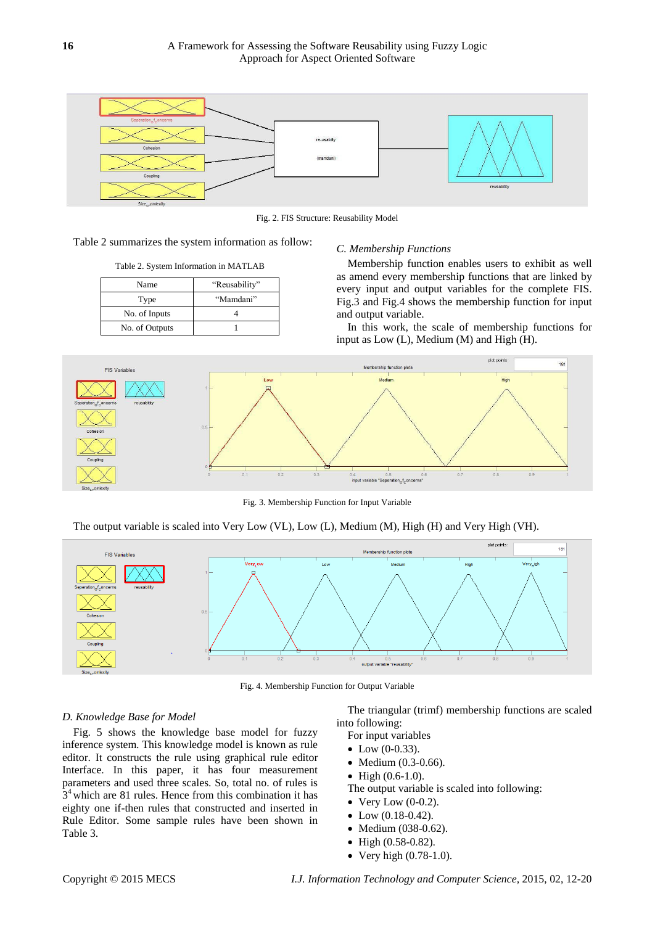

Fig. 2. FIS Structure: Reusability Model

| Table 2 summarizes the system information as follow: |  |  |  |  |
|------------------------------------------------------|--|--|--|--|
|------------------------------------------------------|--|--|--|--|

Table 2. System Information in MATLAB

| Name           | "Reusability" |
|----------------|---------------|
| Type           | "Mamdani"     |
| No. of Inputs  |               |
| No. of Outputs |               |

#### *C. Membership Functions*

Membership function enables users to exhibit as well as amend every membership functions that are linked by every input and output variables for the complete FIS. Fig.3 and Fig.4 shows the membership function for input and output variable.

In this work, the scale of membership functions for input as Low (L), Medium (M) and High (H).



Fig. 3. Membership Function for Input Variable

The output variable is scaled into Very Low (VL), Low (L), Medium (M), High (H) and Very High (VH).



Fig. 4. Membership Function for Output Variable

#### *D. Knowledge Base for Model*

Fig. 5 shows the knowledge base model for fuzzy inference system. This knowledge model is known as rule editor. It constructs the rule using graphical rule editor Interface. In this paper, it has four measurement parameters and used three scales. So, total no. of rules is  $3<sup>4</sup>$  which are 81 rules. Hence from this combination it has eighty one if-then rules that constructed and inserted in Rule Editor. Some sample rules have been shown in Table 3.

The triangular (trimf) membership functions are scaled into following:

- For input variables
- $\bullet$  Low (0-0.33).
- Medium (0.3-0.66).
- $\bullet$  High  $(0.6-1.0)$ .

The output variable is scaled into following:

- $\bullet$  Very Low (0-0.2).
- $\bullet$  Low (0.18-0.42).
- Medium (038-0.62).
- High (0.58-0.82).
- Very high (0.78-1.0).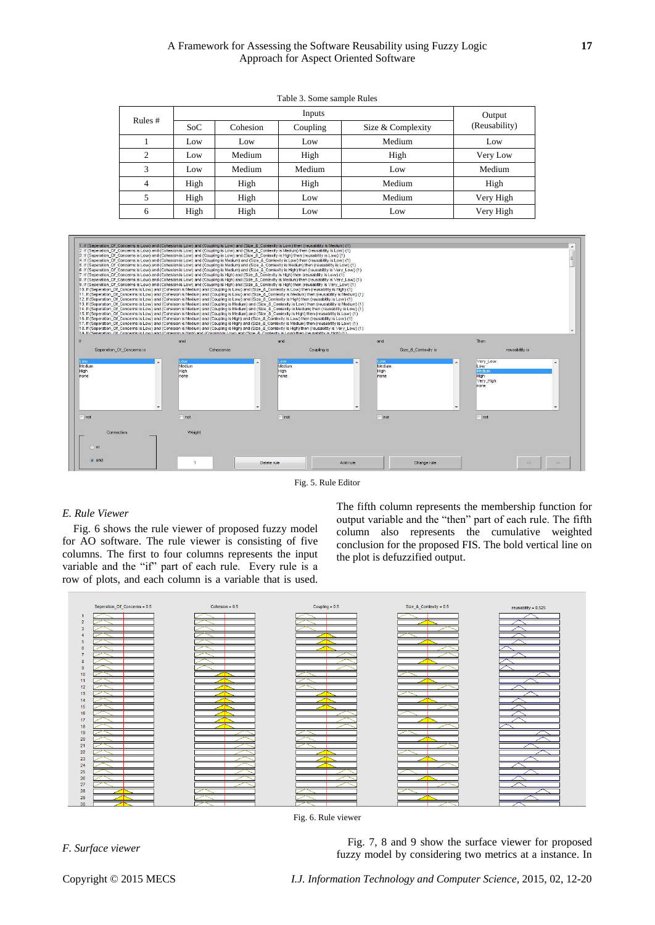# A Framework for Assessing the Software Reusability using Fuzzy Logic **17** Approach for Aspect Oriented Software

| Rules $#$ |      | Output   |          |                   |               |
|-----------|------|----------|----------|-------------------|---------------|
|           | SoC  | Cohesion | Coupling | Size & Complexity | (Reusability) |
|           | Low  | Low      | Low      | Medium            | Low           |
| ◠         | Low  | Medium   | High     | High              | Very Low      |
| 3         | Low  | Medium   | Medium   | Low               | Medium        |
| 4         | High | High     | High     | Medium            | High          |
|           | High | High     | Low      | Medium            | Very High     |
| 6         | High | High     | Low      | Low               | Very High     |





Fig. 5. Rule Editor

# *E. Rule Viewer*

Fig. 6 shows the rule viewer of proposed fuzzy model for AO software. The rule viewer is consisting of five columns. The first to four columns represents the input variable and the "if" part of each rule. Every rule is a row of plots, and each column is a variable that is used. The fifth column represents the membership function for output variable and the "then" part of each rule. The fifth column also represents the cumulative weighted conclusion for the proposed FIS. The bold vertical line on the plot is defuzzified output.



Fig. 6. Rule viewer

*Fig. 7, 8 and 9 show the surface viewer for proposed*<br>*F. Surface viewer* for proposed by example in a proposed by example in the surface of a instance. In fuzzy model by considering two metrics at a instance. In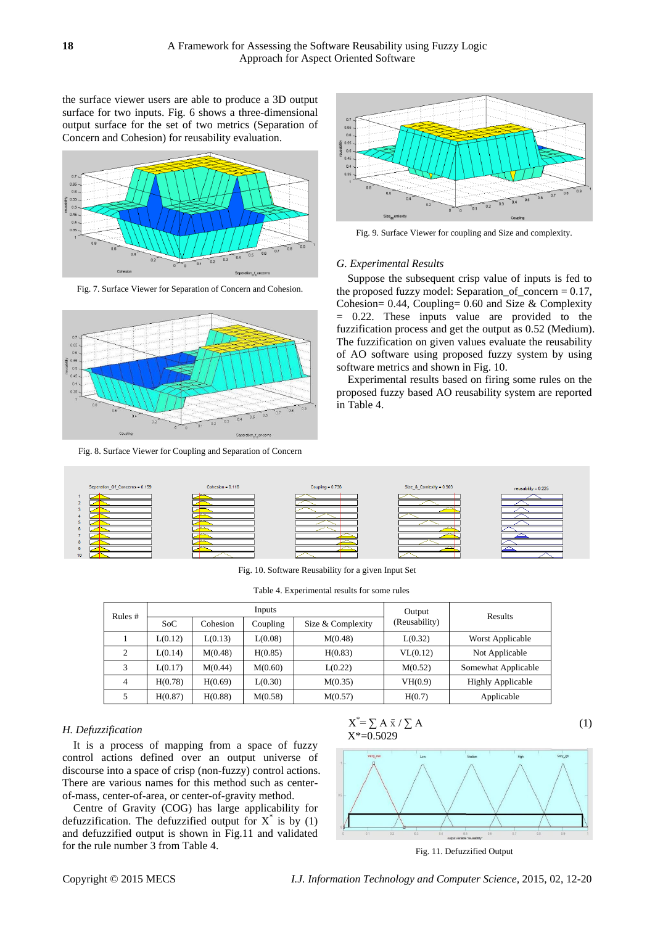the surface viewer users are able to produce a 3D output surface for two inputs. Fig. 6 shows a three-dimensional output surface for the set of two metrics (Separation of Concern and Cohesion) for reusability evaluation.



Fig. 7. Surface Viewer for Separation of Concern and Cohesion.



Fig. 8. Surface Viewer for Coupling and Separation of Concern



Fig. 9. Surface Viewer for coupling and Size and complexity.

#### *G. Experimental Results*

Suppose the subsequent crisp value of inputs is fed to the proposed fuzzy model: Separation\_of\_concern  $= 0.17$ , Cohesion= 0.44, Coupling= 0.60 and Size & Complexity = 0.22. These inputs value are provided to the fuzzification process and get the output as 0.52 (Medium). The fuzzification on given values evaluate the reusability of AO software using proposed fuzzy system by using software metrics and shown in Fig. 10.

Experimental results based on firing some rules on the proposed fuzzy based AO reusability system are reported in Table 4.



Fig. 10. Software Reusability for a given Input Set

Table 4. Experimental results for some rules

| Rules $#$ |         |          | Inputs   | Output            | Results       |                          |
|-----------|---------|----------|----------|-------------------|---------------|--------------------------|
|           | SoC     | Cohesion | Coupling | Size & Complexity | (Reusability) |                          |
|           | L(0.12) | L(0.13)  | L(0.08)  | M(0.48)           | L(0.32)       | Worst Applicable         |
|           | L(0.14) | M(0.48)  | H(0.85)  | H(0.83)           | VL(0.12)      | Not Applicable           |
| 3         | L(0.17) | M(0.44)  | M(0.60)  | L(0.22)           | M(0.52)       | Somewhat Applicable      |
| 4         | H(0.78) | H(0.69)  | L(0.30)  | M(0.35)           | VH(0.9)       | <b>Highly Applicable</b> |
|           | H(0.87) | H(0.88)  | M(0.58)  | M(0.57)           | H(0.7)        | Applicable               |

#### *H. Defuzzification*

It is a process of mapping from a space of fuzzy control actions defined over an output universe of discourse into a space of crisp (non-fuzzy) control actions. There are various names for this method such as centerof-mass, center-of-area, or center-of-gravity method.

Centre of Gravity (COG) has large applicability for defuzzification. The defuzzified output for  $X^*$  is by (1) and defuzzified output is shown in Fig.11 and validated for the rule number 3 from Table 4.

$$
X^* = \sum A \bar{x} / \sum A
$$
  

$$
X^* = 0.5029
$$
 (1)



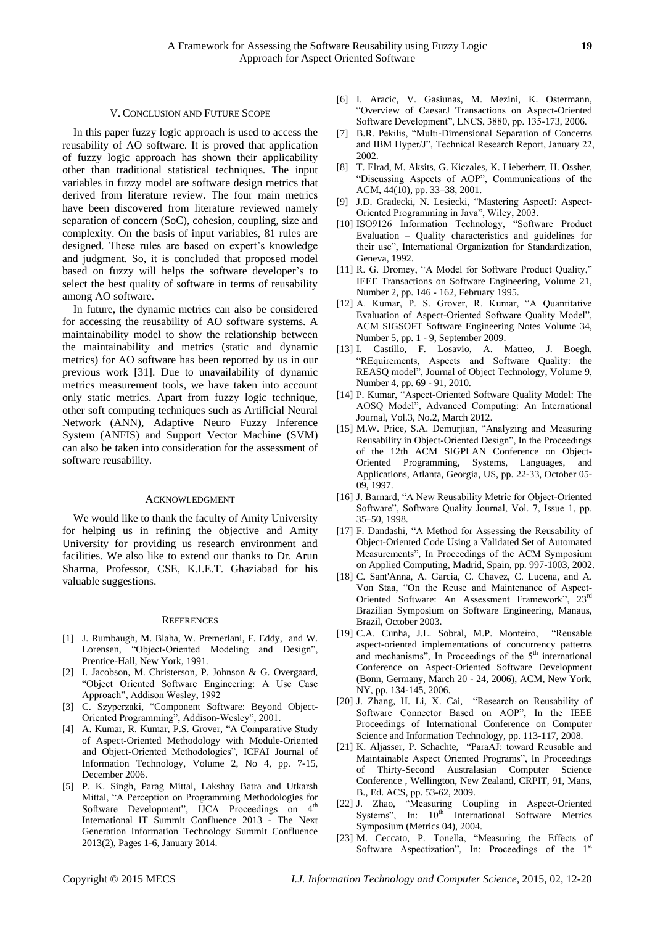#### V. CONCLUSION AND FUTURE SCOPE

In this paper fuzzy logic approach is used to access the reusability of AO software. It is proved that application of fuzzy logic approach has shown their applicability other than traditional statistical techniques. The input variables in fuzzy model are software design metrics that derived from literature review. The four main metrics have been discovered from literature reviewed namely separation of concern (SoC), cohesion, coupling, size and complexity. On the basis of input variables, 81 rules are designed. These rules are based on expert's knowledge and judgment. So, it is concluded that proposed model based on fuzzy will helps the software developer's to select the best quality of software in terms of reusability among AO software.

In future, the dynamic metrics can also be considered for accessing the reusability of AO software systems. A maintainability model to show the relationship between the maintainability and metrics (static and dynamic metrics) for AO software has been reported by us in our previous work [31]. Due to unavailability of dynamic metrics measurement tools, we have taken into account only static metrics. Apart from fuzzy logic technique, other soft computing techniques such as Artificial Neural Network (ANN), Adaptive Neuro Fuzzy Inference System (ANFIS) and Support Vector Machine (SVM) can also be taken into consideration for the assessment of software reusability.

#### ACKNOWLEDGMENT

We would like to thank the faculty of Amity University for helping us in refining the objective and Amity University for providing us research environment and facilities. We also like to extend our thanks to Dr. Arun Sharma, Professor, CSE, K.I.E.T. Ghaziabad for his valuable suggestions.

#### **REFERENCES**

- [1] J. Rumbaugh, M. Blaha, W. Premerlani, F. Eddy, and W. Lorensen, "Object-Oriented Modeling and Design", Prentice-Hall, New York, 1991.
- [2] I. Jacobson, M. Christerson, P. Johnson & G. Overgaard, "Object Oriented Software Engineering: A Use Case Approach", Addison Wesley, 1992
- [3] C. Szyperzaki, "Component Software: Beyond Object-Oriented Programming", Addison-Wesley", 2001.
- [4] A. Kumar, R. Kumar, P.S. Grover, "A Comparative Study of Aspect-Oriented Methodology with Module-Oriented and Object-Oriented Methodologies"*,* ICFAI Journal of Information Technology, Volume 2, No 4, pp. 7-15, December 2006.
- [5] P. K. Singh, Parag Mittal, Lakshay Batra and Utkarsh Mittal, "A Perception on Programming Methodologies for Software Development", IJCA Proceedings on 4<sup>th</sup> International IT Summit Confluence 2013 - The Next Generation Information Technology Summit Confluence 2013(2), Pages 1-6, January 2014.
- [6] I. Aracic, V. Gasiunas, M. Mezini, K. Ostermann, "Overview of CaesarJ Transactions on Aspect-Oriented Software Development", LNCS, 3880, pp. 135-173, 2006.
- [7] B.R. Pekilis, "Multi-Dimensional Separation of Concerns and IBM Hyper/J", Technical Research Report, January 22, 2002.
- [8] T. Elrad, M. Aksits, G. Kiczales, K. Lieberherr, H. Ossher, "Discussing Aspects of AOP", Communications of the ACM, 44(10), pp. 33–38, 2001.
- [9] J.D. Gradecki, N. Lesiecki, "Mastering AspectJ: Aspect-Oriented Programming in Java", Wiley, 2003.
- [10] ISO9126 Information Technology, "Software Product Evaluation – Quality characteristics and guidelines for their use", International Organization for Standardization, Geneva, 1992.
- [11] R. G. Dromey, "A Model for Software Product Quality," IEEE Transactions on Software Engineering, Volume 21, Number 2, pp. 146 - 162, February 1995.
- [12] A. Kumar, P. S. Grover, R. Kumar, "A Quantitative Evaluation of Aspect-Oriented Software Quality Model", ACM SIGSOFT Software Engineering Notes Volume 34, Number 5, pp. 1 - 9, September 2009.
- [13] I. Castillo, F. Losavio, A. Matteo, J. Boegh, "REquirements, Aspects and Software Quality: the REASQ model", Journal of Object Technology, Volume 9, Number 4, pp. 69 - 91, 2010.
- [14] P. Kumar, "Aspect-Oriented Software Quality Model: The AOSQ Model", Advanced Computing: An International Journal, Vol.3, No.2, March 2012.
- [15] M.W. Price, S.A. Demurjian, "Analyzing and Measuring Reusability in Object-Oriented Design", In the Proceedings of the 12th ACM SIGPLAN Conference on Object-Oriented Programming, Systems, Languages, and Applications, Atlanta, Georgia, US, pp. 22-33, October 05- 09, 1997.
- [16] J. Barnard, "A New Reusability Metric for Object-Oriented Software", Software Quality Journal, Vol. 7, Issue 1, pp. 35–50, 1998.
- [17] F. Dandashi, "A Method for Assessing the Reusability of Object-Oriented Code Using a Validated Set of Automated Measurements", In Proceedings of the ACM Symposium on Applied Computing, Madrid, Spain, pp. 997-1003, 2002.
- [18] C. Sant'Anna, A. Garcia, C. Chavez, C. Lucena, and A. Von Staa, "On the Reuse and Maintenance of Aspect-Oriented Software: An Assessment Framework", 23rd Brazilian Symposium on Software Engineering, Manaus, Brazil, October 2003.
- [19] C.A. Cunha, J.L. Sobral, M.P. Monteiro, "Reusable aspect-oriented implementations of concurrency patterns and mechanisms", In Proceedings of the  $5<sup>th</sup>$  international Conference on Aspect-Oriented Software Development (Bonn, Germany, March 20 - 24, 2006), ACM, New York, NY, pp. 134-145, 2006.
- [20] J. Zhang, H. Li, X. Cai, "Research on Reusability of Software Connector Based on AOP", In the IEEE Proceedings of International Conference on Computer Science and Information Technology, pp. 113-117, 2008.
- [21] K. Aljasser, P. Schachte, "ParaAJ: toward Reusable and Maintainable Aspect Oriented Programs", In Proceedings of Thirty-Second Australasian Computer Science Conference , Wellington, New Zealand, CRPIT, 91, Mans, B., Ed. ACS, pp. 53-62, 2009.
- [22] J. Zhao, "Measuring Coupling in Aspect-Oriented Systems", In:  $10<sup>th</sup>$  International Software Metrics Symposium (Metrics 04), 2004.
- [23] M. Ceccato, P. Tonella, "Measuring the Effects of Software Aspectization", In: Proceedings of the 1<sup>st</sup>